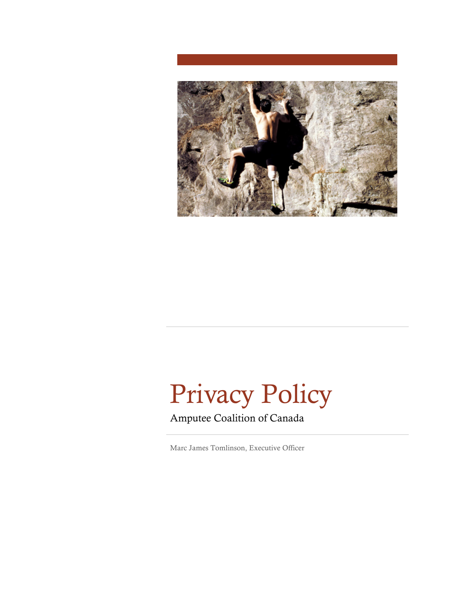

# Privacy Policy

# Amputee Coalition of Canada

Marc James Tomlinson, Executive Officer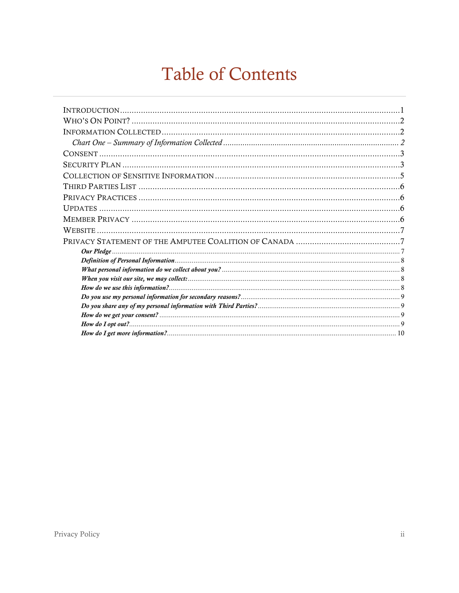# **Table of Contents**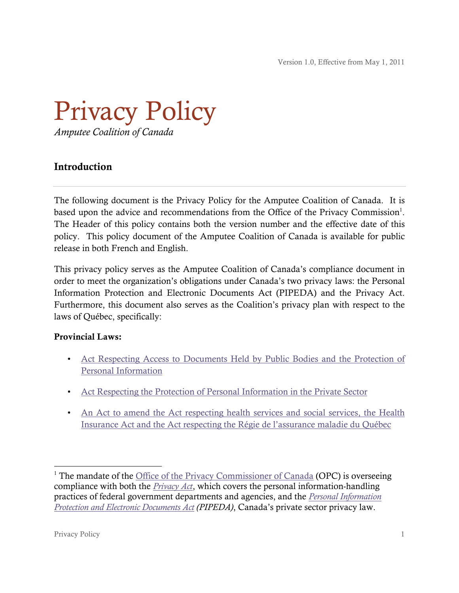Version 1.0, Effective from May 1, 2011



# Introduction

The following document is the Privacy Policy for the Amputee Coalition of Canada. It is based upon the advice and recommendations from the Office of the Privacy Commission<sup>1</sup>. The Header of this policy contains both the version number and the effective date of this policy. This policy document of the Amputee Coalition of Canada is available for public release in both French and English.

This privacy policy serves as the Amputee Coalition of Canada's compliance document in order to meet the organization's obligations under Canada's two privacy laws: the Personal Information Protection and Electronic Documents Act (PIPEDA) and the Privacy Act. Furthermore, this document also serves as the Coalition's privacy plan with respect to the laws of Québec, specifically:

#### Provincial Laws:

- Act Respecting Access to Documents Held by Public Bodies and the Protection of Personal Information
- Act Respecting the Protection of Personal Information in the Private Sector
- An Act to amend the Act respecting health services and social services, the Health Insurance Act and the Act respecting the Régie de l'assurance maladie du Québec

<sup>&</sup>lt;sup>1</sup> The mandate of the Office of the Privacy Commissioner of Canada (OPC) is overseeing compliance with both the *Privacy Act*, which covers the personal information-handling practices of federal government departments and agencies, and the *Personal Information Protection and Electronic Documents Act (PIPEDA)*, Canada's private sector privacy law.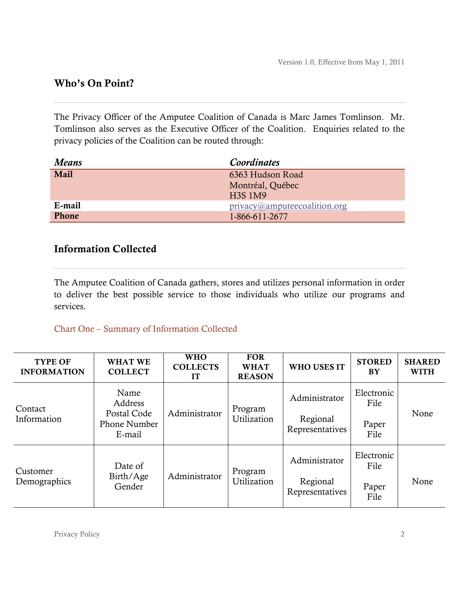# Who's On Point?

The Privacy Officer of the Amputee Coalition of Canada is Marc James Tomlinson. Mr. Tomlinson also serves as the Executive Officer of the Coalition. Enquiries related to the privacy policies of the Coalition can be routed through:

| <b>Means</b> | Coordinates                                             |
|--------------|---------------------------------------------------------|
| Mail         | 6363 Hudson Road                                        |
|              | Montréal, Québec                                        |
|              | <b>H3S 1M9</b>                                          |
| E-mail       | $\text{privacy}(\widehat{\omega}$ ampute ecoalition.org |
| Phone        | 1-866-611-2677                                          |

# Information Collected

The Amputee Coalition of Canada gathers, stores and utilizes personal information in order to deliver the best possible service to those individuals who utilize our programs and services.

#### Chart One – Summary of Information Collected

| <b>TYPE OF</b><br><b>INFORMATION</b> | <b>WHAT WE</b><br><b>COLLECT</b>                                | <b>WHO</b><br><b>COLLECTS</b><br>IT | <b>FOR</b><br><b>WHAT</b><br><b>REASON</b> | WHO USES IT                 | <b>STORED</b><br><b>BY</b> | <b>SHARED</b><br><b>WITH</b> |
|--------------------------------------|-----------------------------------------------------------------|-------------------------------------|--------------------------------------------|-----------------------------|----------------------------|------------------------------|
| Contact<br>Information               | Name<br>Address<br>Postal Code<br><b>Phone Number</b><br>E-mail | Administrator                       | Program<br>Utilization                     | Administrator               | Electronic<br>File         | None                         |
|                                      |                                                                 |                                     |                                            | Regional<br>Representatives | Paper<br>File              |                              |
| Customer<br>Demographics             | Date of<br>Birth/Age<br>Gender                                  | Administrator                       | Program<br>Utilization                     | Administrator               | Electronic<br>File         | None                         |
|                                      |                                                                 |                                     |                                            | Regional<br>Representatives | Paper<br>File              |                              |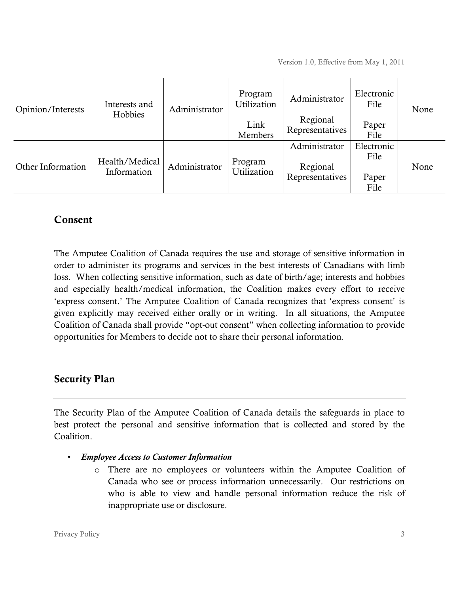| Opinion/Interests | Interests and<br>Hobbies      | Administrator | Program<br>Utilization<br>Link<br>Members | Administrator<br>Regional<br>Representatives | Electronic<br>File<br>Paper<br>File | None |
|-------------------|-------------------------------|---------------|-------------------------------------------|----------------------------------------------|-------------------------------------|------|
| Other Information | Health/Medical<br>Information | Administrator | Program<br>Utilization                    | Administrator<br>Regional<br>Representatives | Electronic<br>File<br>Paper<br>File | None |

# Consent

The Amputee Coalition of Canada requires the use and storage of sensitive information in order to administer its programs and services in the best interests of Canadians with limb loss. When collecting sensitive information, such as date of birth/age; interests and hobbies and especially health/medical information, the Coalition makes every effort to receive 'express consent.' The Amputee Coalition of Canada recognizes that 'express consent' is given explicitly may received either orally or in writing. In all situations, the Amputee Coalition of Canada shall provide "opt-out consent" when collecting information to provide opportunities for Members to decide not to share their personal information.

# Security Plan

The Security Plan of the Amputee Coalition of Canada details the safeguards in place to best protect the personal and sensitive information that is collected and stored by the Coalition.

- *Employee Access to Customer Information*
	- o There are no employees or volunteers within the Amputee Coalition of Canada who see or process information unnecessarily. Our restrictions on who is able to view and handle personal information reduce the risk of inappropriate use or disclosure.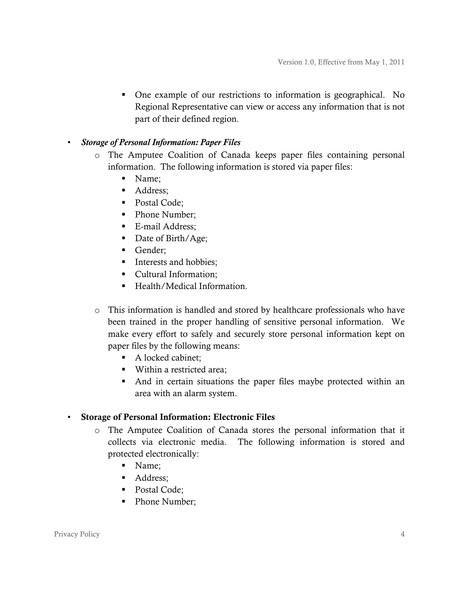! One example of our restrictions to information is geographical. No Regional Representative can view or access any information that is not part of their defined region.

#### • *Storage of Personal Information: Paper Files*

- o The Amputee Coalition of Canada keeps paper files containing personal information. The following information is stored via paper files:
	- ! Name;
	- Address:
	- Postal Code:
	- Phone Number;
	- E-mail Address;
	- Date of Birth/Age;
	- ! Gender;
	- Interests and hobbies;
	- Cultural Information;
	- ! Health/Medical Information.
- o This information is handled and stored by healthcare professionals who have been trained in the proper handling of sensitive personal information. We make every effort to safely and securely store personal information kept on paper files by the following means:
	- A locked cabinet:
	- Within a restricted area:
	- ! And in certain situations the paper files maybe protected within an area with an alarm system.

#### • Storage of Personal Information: Electronic Files

- o The Amputee Coalition of Canada stores the personal information that it collects via electronic media. The following information is stored and protected electronically:
	- ! Name;
	- Address;
	- Postal Code:
	- Phone Number;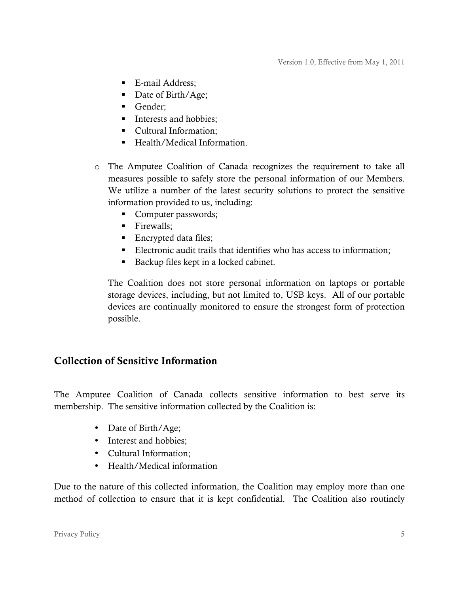- E-mail Address;
- Date of Birth/Age;
- ! Gender;
- Interests and hobbies;
- ! Cultural Information;
- ! Health/Medical Information.
- o The Amputee Coalition of Canada recognizes the requirement to take all measures possible to safely store the personal information of our Members. We utilize a number of the latest security solutions to protect the sensitive information provided to us, including:
	- Computer passwords;
	- **Exercise** Firewalls;
	- Encrypted data files;
	- ! Electronic audit trails that identifies who has access to information;
	- ! Backup files kept in a locked cabinet.

The Coalition does not store personal information on laptops or portable storage devices, including, but not limited to, USB keys. All of our portable devices are continually monitored to ensure the strongest form of protection possible.

# Collection of Sensitive Information

The Amputee Coalition of Canada collects sensitive information to best serve its membership. The sensitive information collected by the Coalition is:

- Date of Birth/Age;
- Interest and hobbies;
- Cultural Information;
- Health/Medical information

Due to the nature of this collected information, the Coalition may employ more than one method of collection to ensure that it is kept confidential. The Coalition also routinely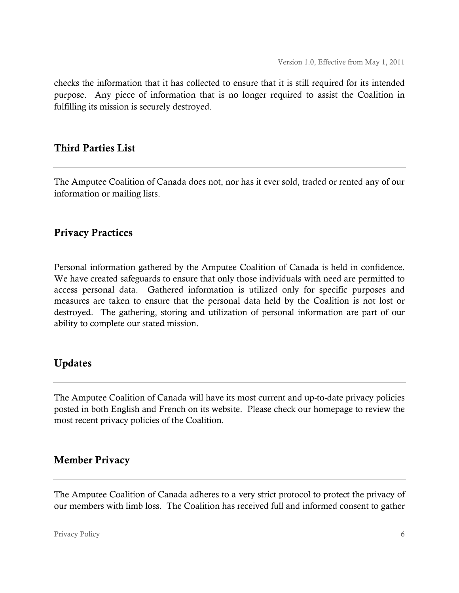checks the information that it has collected to ensure that it is still required for its intended purpose. Any piece of information that is no longer required to assist the Coalition in fulfilling its mission is securely destroyed.

# Third Parties List

The Amputee Coalition of Canada does not, nor has it ever sold, traded or rented any of our information or mailing lists.

# Privacy Practices

Personal information gathered by the Amputee Coalition of Canada is held in confidence. We have created safeguards to ensure that only those individuals with need are permitted to access personal data. Gathered information is utilized only for specific purposes and measures are taken to ensure that the personal data held by the Coalition is not lost or destroyed. The gathering, storing and utilization of personal information are part of our ability to complete our stated mission.

# Updates

The Amputee Coalition of Canada will have its most current and up-to-date privacy policies posted in both English and French on its website. Please check our homepage to review the most recent privacy policies of the Coalition.

# Member Privacy

The Amputee Coalition of Canada adheres to a very strict protocol to protect the privacy of our members with limb loss. The Coalition has received full and informed consent to gather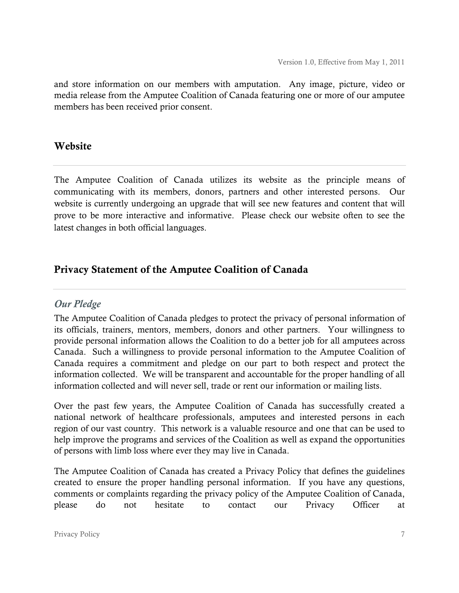and store information on our members with amputation. Any image, picture, video or media release from the Amputee Coalition of Canada featuring one or more of our amputee members has been received prior consent.

#### Website

The Amputee Coalition of Canada utilizes its website as the principle means of communicating with its members, donors, partners and other interested persons. Our website is currently undergoing an upgrade that will see new features and content that will prove to be more interactive and informative. Please check our website often to see the latest changes in both official languages.

# Privacy Statement of the Amputee Coalition of Canada

### *Our Pledge*

The Amputee Coalition of Canada pledges to protect the privacy of personal information of its officials, trainers, mentors, members, donors and other partners. Your willingness to provide personal information allows the Coalition to do a better job for all amputees across Canada. Such a willingness to provide personal information to the Amputee Coalition of Canada requires a commitment and pledge on our part to both respect and protect the information collected. We will be transparent and accountable for the proper handling of all information collected and will never sell, trade or rent our information or mailing lists.

Over the past few years, the Amputee Coalition of Canada has successfully created a national network of healthcare professionals, amputees and interested persons in each region of our vast country. This network is a valuable resource and one that can be used to help improve the programs and services of the Coalition as well as expand the opportunities of persons with limb loss where ever they may live in Canada.

The Amputee Coalition of Canada has created a Privacy Policy that defines the guidelines created to ensure the proper handling personal information. If you have any questions, comments or complaints regarding the privacy policy of the Amputee Coalition of Canada, please do not hesitate to contact our Privacy Officer at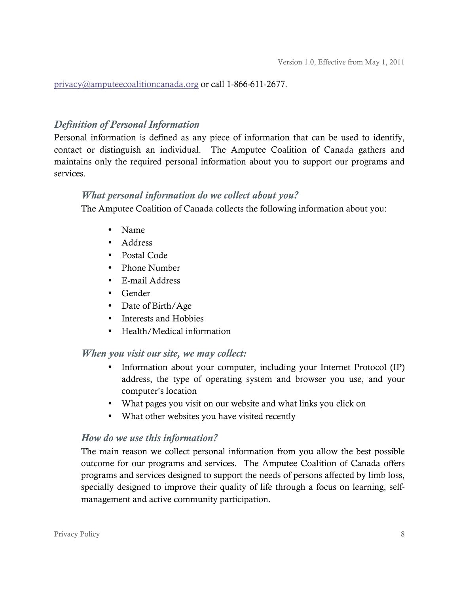privacy@amputeecoalitioncanada.org or call 1-866-611-2677.

# *Definition of Personal Information*

Personal information is defined as any piece of information that can be used to identify, contact or distinguish an individual. The Amputee Coalition of Canada gathers and maintains only the required personal information about you to support our programs and services.

#### *What personal information do we collect about you?*

The Amputee Coalition of Canada collects the following information about you:

- Name
- Address
- Postal Code
- Phone Number
- E-mail Address
- Gender
- Date of Birth/Age
- Interests and Hobbies
- Health/Medical information

### *When you visit our site, we may collect:*

- Information about your computer, including your Internet Protocol (IP) address, the type of operating system and browser you use, and your computer's location
- What pages you visit on our website and what links you click on
- What other websites you have visited recently

### *How do we use this information?*

The main reason we collect personal information from you allow the best possible outcome for our programs and services. The Amputee Coalition of Canada offers programs and services designed to support the needs of persons affected by limb loss, specially designed to improve their quality of life through a focus on learning, selfmanagement and active community participation.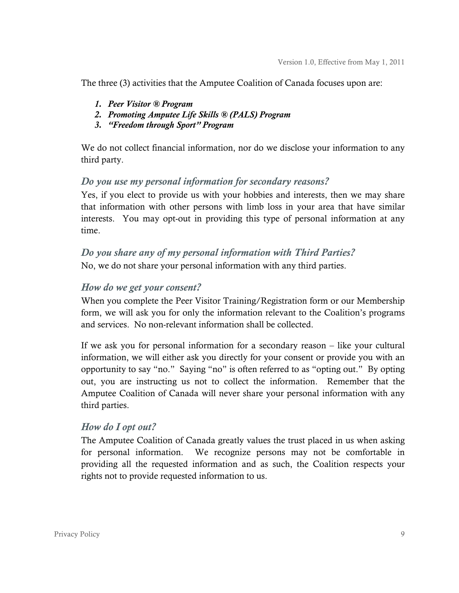The three (3) activities that the Amputee Coalition of Canada focuses upon are:

- *1. Peer Visitor ® Program*
- *2. Promoting Amputee Life Skills ® (PALS) Program*
- *3. "Freedom through Sport" Program*

We do not collect financial information, nor do we disclose your information to any third party.

#### *Do you use my personal information for secondary reasons?*

Yes, if you elect to provide us with your hobbies and interests, then we may share that information with other persons with limb loss in your area that have similar interests. You may opt-out in providing this type of personal information at any time.

# *Do you share any of my personal information with Third Parties?*

No, we do not share your personal information with any third parties.

#### *How do we get your consent?*

When you complete the Peer Visitor Training/Registration form or our Membership form, we will ask you for only the information relevant to the Coalition's programs and services. No non-relevant information shall be collected.

If we ask you for personal information for a secondary reason – like your cultural information, we will either ask you directly for your consent or provide you with an opportunity to say "no." Saying "no" is often referred to as "opting out." By opting out, you are instructing us not to collect the information. Remember that the Amputee Coalition of Canada will never share your personal information with any third parties.

#### *How do I opt out?*

The Amputee Coalition of Canada greatly values the trust placed in us when asking for personal information. We recognize persons may not be comfortable in providing all the requested information and as such, the Coalition respects your rights not to provide requested information to us.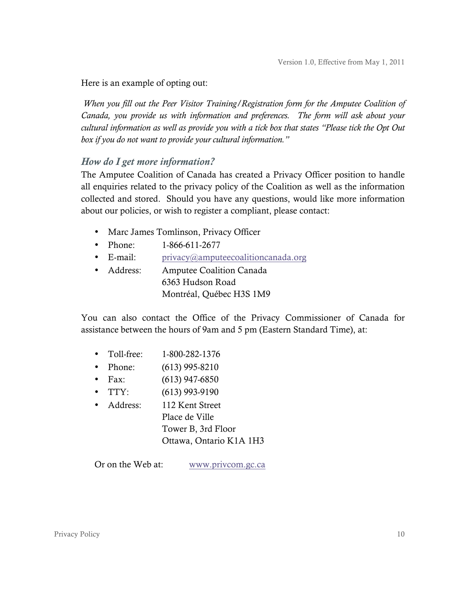Here is an example of opting out:

*When you fill out the Peer Visitor Training/Registration form for the Amputee Coalition of Canada, you provide us with information and preferences. The form will ask about your cultural information as well as provide you with a tick box that states "Please tick the Opt Out box if you do not want to provide your cultural information."*

#### *How do I get more information?*

The Amputee Coalition of Canada has created a Privacy Officer position to handle all enquiries related to the privacy policy of the Coalition as well as the information collected and stored. Should you have any questions, would like more information about our policies, or wish to register a compliant, please contact:

- Marc James Tomlinson, Privacy Officer
- Phone: 1-866-611-2677
- E-mail: privacy@amputeecoalitioncanada.org
- Address: Amputee Coalition Canada 6363 Hudson Road Montréal, Québec H3S 1M9

You can also contact the Office of the Privacy Commissioner of Canada for assistance between the hours of 9am and 5 pm (Eastern Standard Time), at:

- Toll-free: 1-800-282-1376
- Phone: (613) 995-8210
- Fax:  $(613)$  947-6850
- $TTY$ : (613) 993-9190
- Address: 112 Kent Street Place de Ville Tower B, 3rd Floor Ottawa, Ontario K1A 1H3

Or on the Web at: www.privcom.gc.ca